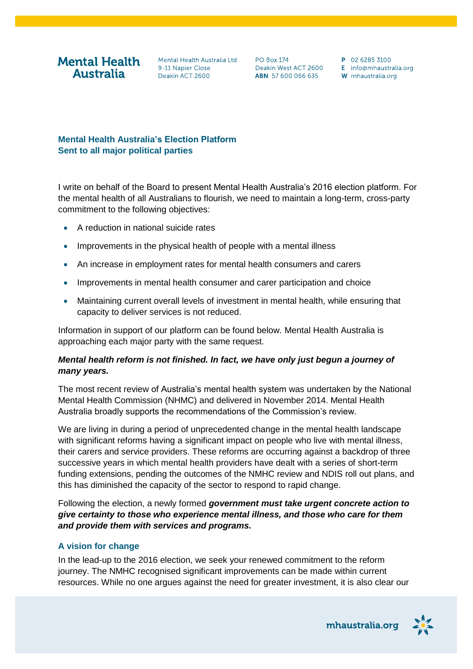# **Mental Health Australia**

Mental Health Australia Ltd 9-11 Napier Close Deakin ACT 2600

**PO Box 174** Deakin West ACT 2600 ABN 57 600 066 635

P 02 6285 3100 E info@mhaustralia.org W mhaustralia.org

## **Mental Health Australia's Election Platform Sent to all major political parties**

I write on behalf of the Board to present Mental Health Australia's 2016 election platform. For the mental health of all Australians to flourish, we need to maintain a long-term, cross-party commitment to the following objectives:

- A reduction in national suicide rates
- Improvements in the physical health of people with a mental illness
- An increase in employment rates for mental health consumers and carers
- Improvements in mental health consumer and carer participation and choice
- Maintaining current overall levels of investment in mental health, while ensuring that capacity to deliver services is not reduced.

Information in support of our platform can be found below. Mental Health Australia is approaching each major party with the same request.

### *Mental health reform is not finished. In fact, we have only just begun a journey of many years.*

The most recent review of Australia's mental health system was undertaken by the National Mental Health Commission (NHMC) and delivered in November 2014. Mental Health Australia broadly supports the recommendations of the Commission's review.

We are living in during a period of unprecedented change in the mental health landscape with significant reforms having a significant impact on people who live with mental illness, their carers and service providers. These reforms are occurring against a backdrop of three successive years in which mental health providers have dealt with a series of short-term funding extensions, pending the outcomes of the NMHC review and NDIS roll out plans, and this has diminished the capacity of the sector to respond to rapid change.

Following the election, a newly formed *government must take urgent concrete action to give certainty to those who experience mental illness, and those who care for them and provide them with services and programs.* 

### **A vision for change**

In the lead-up to the 2016 election, we seek your renewed commitment to the reform journey. The NMHC recognised significant improvements can be made within current resources. While no one argues against the need for greater investment, it is also clear our

mhaustralia.org